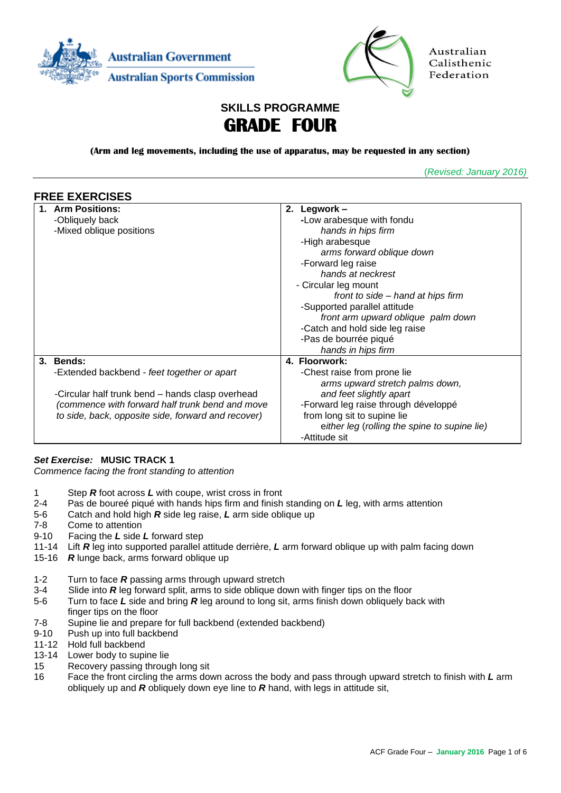



Australian Calisthenic Federation

# **SKILLS PROGRAMME GRADE FOUR**

**(Arm and leg movements, including the use of apparatus, may be requested in any section)**

(*Revised: January 2016)*

| <b>FREE EXERCISES</b>                              |                                              |
|----------------------------------------------------|----------------------------------------------|
| <b>Arm Positions:</b>                              | 2. Legwork -                                 |
| -Obliquely back                                    | -Low arabesque with fondu                    |
| -Mixed oblique positions                           | hands in hips firm                           |
|                                                    | -High arabesque                              |
|                                                    | arms forward oblique down                    |
|                                                    | -Forward leg raise                           |
|                                                    | hands at neckrest                            |
|                                                    | - Circular leg mount                         |
|                                                    | front to side – hand at hips firm            |
|                                                    | -Supported parallel attitude                 |
|                                                    | front arm upward oblique palm down           |
|                                                    | -Catch and hold side leg raise               |
|                                                    | -Pas de bourrée piqué                        |
|                                                    | hands in hips firm                           |
| 3. Bends:                                          | 4. Floorwork:                                |
| -Extended backbend - feet together or apart        | -Chest raise from prone lie                  |
|                                                    | arms upward stretch palms down,              |
| -Circular half trunk bend - hands clasp overhead   | and feet slightly apart                      |
| (commence with forward half trunk bend and move    | -Forward leg raise through développé         |
| to side, back, opposite side, forward and recover) | from long sit to supine lie                  |
|                                                    | either leg (rolling the spine to supine lie) |
|                                                    | -Attitude sit                                |

### *Set Exercise:* **MUSIC TRACK 1**

*Commence facing the front standing to attention*

- 1 Step *R* foot across *L* with coupe, wrist cross in front
- 2-4 Pas de boureé piqué with hands hips firm and finish standing on *L* leg, with arms attention
- 5-6 Catch and hold high *R* side leg raise, *L* arm side oblique up
- 7-8 Come to attention
- 9-10 Facing the *L* side *L* forward step
- 11-14 Lift *R* leg into supported parallel attitude derrière, *L* arm forward oblique up with palm facing down
- 15-16 *R* lunge back, arms forward oblique up
- 1-2 Turn to face *R* passing arms through upward stretch
- 3-4 Slide into *R* leg forward split, arms to side oblique down with finger tips on the floor
- 5-6 Turn to face *L* side and bring *R* leg around to long sit, arms finish down obliquely back with finger tips on the floor
- 7-8 Supine lie and prepare for full backbend (extended backbend)
- 9-10 Push up into full backbend
- 11-12 Hold full backbend
- 13-14 Lower body to supine lie
- 15 Recovery passing through long sit
- 16 Face the front circling the arms down across the body and pass through upward stretch to finish with *L* arm obliquely up and *R* obliquely down eye line to *R* hand, with legs in attitude sit,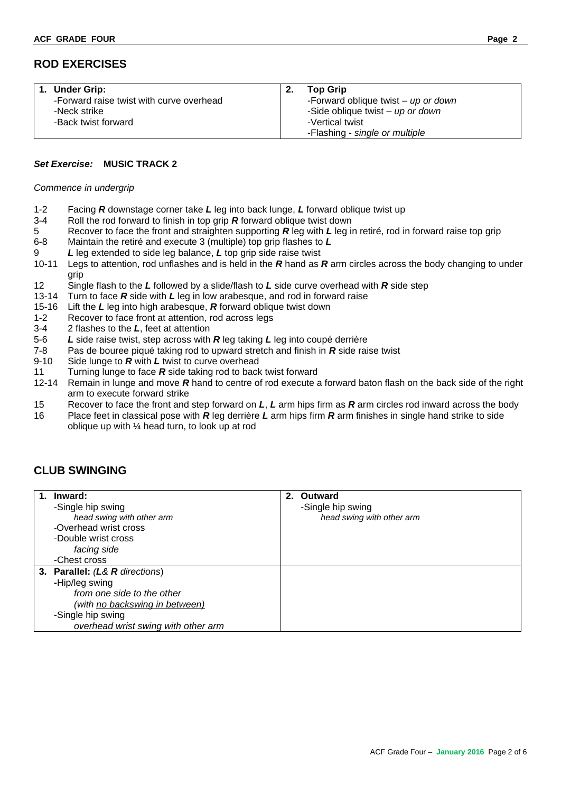## **ROD EXERCISES**

| <b>Under Grip:</b>                       | <b>Top Grip</b>                       |
|------------------------------------------|---------------------------------------|
| -Forward raise twist with curve overhead | -Forward oblique twist $-$ up or down |
| -Neck strike                             | -Side oblique twist - up or down      |
| -Back twist forward                      | -Vertical twist                       |
|                                          | -Flashing - single or multiple        |

### *Set Exercise:* **MUSIC TRACK 2**

#### *Commence in undergrip*

- 1-2 Facing *R* downstage corner take *L* leg into back lunge, *L* forward oblique twist up
- 3-4 Roll the rod forward to finish in top grip *R* forward oblique twist down
- 5 Recover to face the front and straighten supporting **R** leg with *L* leg in retiré, rod in forward raise top grip 6-8 Maintain the retiré and execute 3 (multiple) top grip fashes to *L*
- 6-8 Maintain the retiré and execute 3 (multiple) top grip flashes to *L*
- 9 *L* leg extended to side leg balance, *L* top grip side raise twist
- 10-11 Legs to attention, rod unflashes and is held in the *R* hand as *R* arm circles across the body changing to under grip
- 12 Single flash to the *L* followed by a slide/flash to *L* side curve overhead with *R* side step
- 13-14 Turn to face *R* side with *L* leg in low arabesque, and rod in forward raise
- 15-16 Lift the *L* leg into high arabesque, *R* forward oblique twist down
- 1-2 Recover to face front at attention, rod across legs
- 3-4 2 flashes to the *L*, feet at attention
- 5-6 *L* side raise twist, step across with *R* leg taking *L* leg into coupé derrière
- 7-8 Pas de bouree piqué taking rod to upward stretch and finish in *R* side raise twist<br>9-10 Side lunge to *R* with *L* twist to curve overhead
- Side lunge to **R** with **L** twist to curve overhead
- 11 Turning lunge to face *R* side taking rod to back twist forward
- 12-14 Remain in lunge and move *R* hand to centre of rod execute a forward baton flash on the back side of the right arm to execute forward strike
- 15 Recover to face the front and step forward on *L*, *L* arm hips firm as *R* arm circles rod inward across the body
- 16 Place feet in classical pose with *R* leg derrière *L* arm hips firm *R* arm finishes in single hand strike to side oblique up with ¼ head turn, to look up at rod

## **CLUB SWINGING**

| $\mathbf{1}$ . | Inward:                             | 2. | Outward                   |
|----------------|-------------------------------------|----|---------------------------|
|                | -Single hip swing                   |    | -Single hip swing         |
|                | head swing with other arm           |    | head swing with other arm |
|                | -Overhead wrist cross               |    |                           |
|                | -Double wrist cross                 |    |                           |
|                | facing side                         |    |                           |
|                | -Chest cross                        |    |                           |
|                | 3. Parallel: (L& R directions)      |    |                           |
|                | -Hip/leg swing                      |    |                           |
|                | from one side to the other          |    |                           |
|                | (with no backswing in between)      |    |                           |
|                | -Single hip swing                   |    |                           |
|                | overhead wrist swing with other arm |    |                           |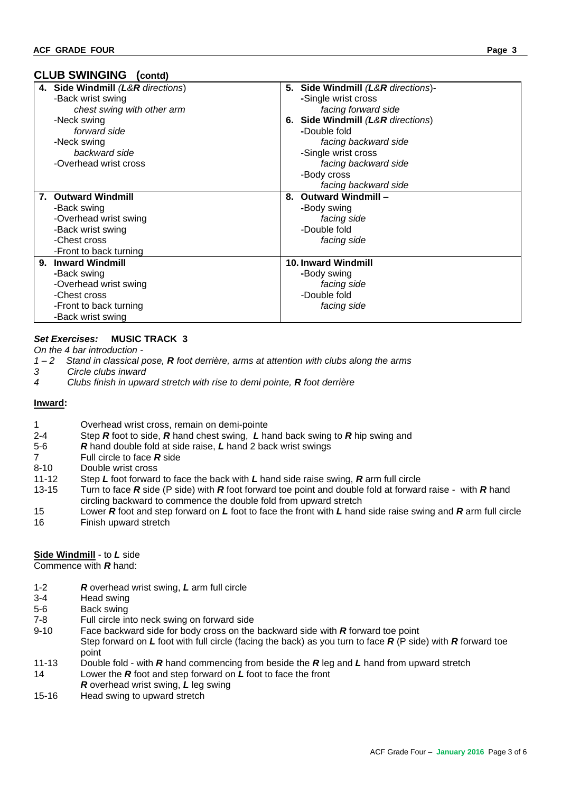## **CLUB SWINGING (contd)**

|    | 4. Side Windmill (L&R directions) |    | 5. Side Windmill (L&R directions)- |
|----|-----------------------------------|----|------------------------------------|
|    | -Back wrist swing                 |    | -Single wrist cross                |
|    | chest swing with other arm        |    | facing forward side                |
|    | -Neck swing                       |    | 6. Side Windmill (L&R directions)  |
|    | forward side                      |    | -Double fold                       |
|    | -Neck swing                       |    | facing backward side               |
|    | backward side                     |    | -Single wrist cross                |
|    | -Overhead wrist cross             |    | facing backward side               |
|    |                                   |    | -Body cross                        |
|    |                                   |    | facing backward side               |
| 7. | <b>Outward Windmill</b>           | 8. | <b>Outward Windmill -</b>          |
|    | -Back swing                       |    | -Body swing                        |
|    | -Overhead wrist swing             |    | facing side                        |
|    | -Back wrist swing                 |    | -Double fold                       |
|    | -Chest cross                      |    | facing side                        |
|    | -Front to back turning            |    |                                    |
| 9. | <b>Inward Windmill</b>            |    | <b>10. Inward Windmill</b>         |
|    | -Back swing                       |    | -Body swing                        |
|    | -Overhead wrist swing             |    | facing side                        |
|    | -Chest cross                      |    | -Double fold                       |
|    | -Front to back turning            |    | facing side                        |
|    | -Back wrist swing                 |    |                                    |

## *Set Exercises:* **MUSIC TRACK 3**

*On the 4 bar introduction -*

- *1 – 2 Stand in classical pose, R foot derrière, arms at attention with clubs along the arms*
- *3 Circle clubs inward*
- *4 Clubs finish in upward stretch with rise to demi pointe, R foot derrière*

#### **Inward:**

- 1 Overhead wrist cross, remain on demi-pointe
- 2-4 Step *R* foot to side, *R* hand chest swing, *L* hand back swing to *R* hip swing and
- 5-6 *R* hand double fold at side raise, *L* hand 2 back wrist swings
- 7 Full circle to face *R* side
- 8-10 Double wrist cross
- 11-12 Step *L* foot forward to face the back with *L* hand side raise swing, *R* arm full circle
- 13-15 Turn to face *R* side (P side) with *R* foot forward toe point and double fold at forward raise with *R* hand circling backward to commence the double fold from upward stretch
- 15 Lower *R* foot and step forward on *L* foot to face the front with *L* hand side raise swing and *R* arm full circle 16 Finish upward stretch

#### **Side Windmill** - to *L* side

Commence with *R* hand:

- 1-2 *R* overhead wrist swing, *L* arm full circle
- 3-4 Head swing
- 5-6 Back swing
- 7-8 Full circle into neck swing on forward side
- 9-10 Face backward side for body cross on the backward side with *R* forward toe point Step forward on *L* foot with full circle (facing the back) as you turn to face *R* (P side) with *R* forward toe point
- 11-13 Double fold with *R* hand commencing from beside the *R* leg and *L* hand from upward stretch 14 Lower the *R* foot and step forward on *L* foot to face the front
- *R* overhead wrist swing, *L* leg swing
- 15-16 Head swing to upward stretch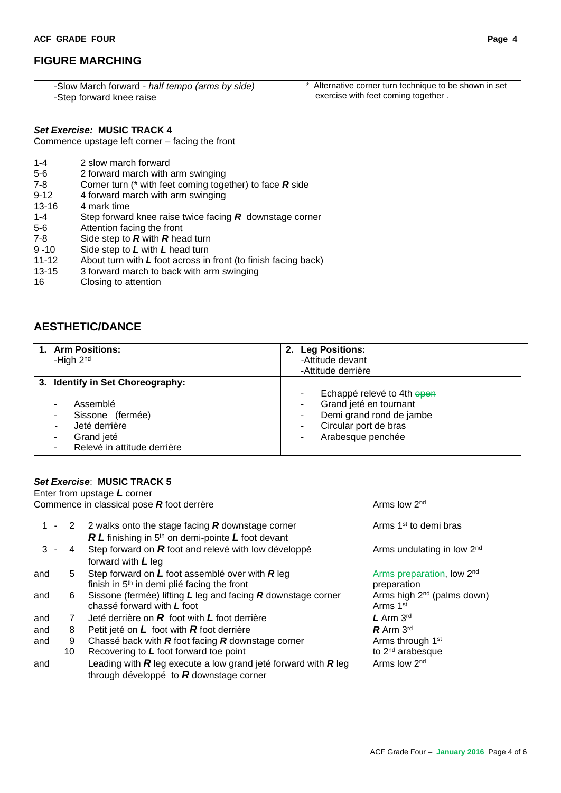## **FIGURE MARCHING**

| -Slow March forward - half tempo (arms by side) | <sup>*</sup> Alternative corner turn technique to be shown in set |
|-------------------------------------------------|-------------------------------------------------------------------|
| -Step forward knee raise                        | exercise with feet coming together.                               |

Commence upstage left corner – facing the front

| $1 - 4$ | 2 slow march forward |
|---------|----------------------|
|         |                      |

- 5-6 2 forward march with arm swinging
- 7-8 Corner turn (\* with feet coming together) to face *R* side
- 9-12 4 forward march with arm swinging
- 13-16 4 mark time
- 1-4 Step forward knee raise twice facing *R* downstage corner
- 5-6 Attention facing the front
- 7-8 Side step to *R* with *R* head turn
- 9 -10 Side step to *L* with *L* head turn
- 11-12 About turn with *L* foot across in front (to finish facing back)
- 13-15 3 forward march to back with arm swinging
- 16 Closing to attention

## **AESTHETIC/DANCE**

| 1. Arm Positions:<br>-High 2 <sup>nd</sup>                                                      | <b>Leg Positions:</b><br>2.<br>-Attitude devant<br>-Attitude derrière                                                          |
|-------------------------------------------------------------------------------------------------|--------------------------------------------------------------------------------------------------------------------------------|
| 3. Identify in Set Choreography:<br>Assemblé<br>Sissone (fermée)<br>Jeté derrière<br>Grand jeté | Echappé relevé to 4th open<br>Grand jeté en tournant<br>Demi grand rond de jambe<br>Circular port de bras<br>Arabesque penchée |
| Relevé in attitude derrière                                                                     |                                                                                                                                |

### *Set Exercise*: **MUSIC TRACK 5**

|       |         | Enter from upstage $L$ corner                                                                                        |                                                                |
|-------|---------|----------------------------------------------------------------------------------------------------------------------|----------------------------------------------------------------|
|       |         | Commence in classical pose R foot derrère                                                                            | Arms low 2 <sup>nd</sup>                                       |
|       | $1 - 2$ | 2 walks onto the stage facing $R$ downstage corner<br>$RL$ finishing in 5 <sup>th</sup> on demi-pointe L foot devant | Arms 1 <sup>st</sup> to demi bras                              |
| $3 -$ | 4       | Step forward on $R$ foot and relevé with low développé<br>forward with $L$ leg                                       | Arms undulating in low 2 <sup>nd</sup>                         |
| and   | 5       | Step forward on $L$ foot assemblé over with $R$ leg<br>finish in 5 <sup>th</sup> in demi plié facing the front       | Arms preparation, low 2 <sup>nd</sup><br>preparation           |
| and   | 6       | Sissone (fermée) lifting $L$ leg and facing $R$ downstage corner<br>chassé forward with L foot                       | Arms high 2 <sup>nd</sup> (palms down)<br>Arms 1 <sup>st</sup> |
| and   | 7       | Jeté derrière on $R$ foot with $L$ foot derrière                                                                     | $L$ Arm $3rd$                                                  |
| and   | 8       | Petit jeté on $L$ foot with $R$ foot derrière                                                                        | $R$ Arm 3rd                                                    |
| and   | 9       | Chassé back with $R$ foot facing $R$ downstage corner                                                                | Arms through 1 <sup>st</sup>                                   |
|       | 10      | Recovering to L foot forward toe point                                                                               | to 2 <sup>nd</sup> arabesque                                   |
| and   |         | Leading with $R$ leg execute a low grand jeté forward with $R$ leg<br>through développé to $R$ downstage corner      | Arms low 2 <sup>nd</sup>                                       |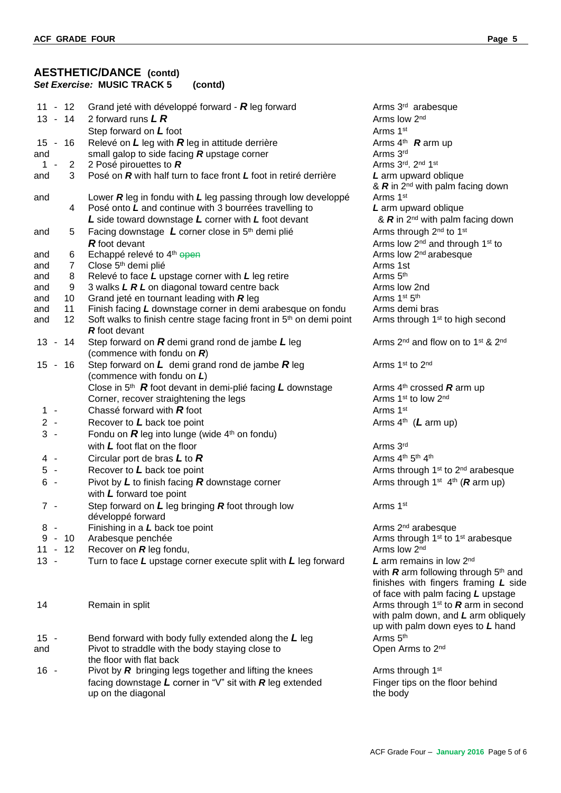### **AESTHETIC/DANCE (contd)** *Set Exercise:* **MUSIC TRACK 5 (contd)**

| $11 - 12$             | Grand jeté with développé forward - $R$ leg forward                             | Arms 3 <sup>rd</sup> arabesque                                        |
|-----------------------|---------------------------------------------------------------------------------|-----------------------------------------------------------------------|
| $13 - 14$             | 2 forward runs $LR$                                                             | Arms low 2 <sup>nd</sup>                                              |
|                       | Step forward on L foot                                                          | Arms 1st                                                              |
| 15 - 16               | Relevé on $L$ leg with $R$ leg in attitude derrière                             | Arms $4th$ <b>R</b> arm up                                            |
| and                   | small galop to side facing $R$ upstage corner                                   | Arms 3rd                                                              |
| $\overline{2}$<br>1.  | 2 Posé pirouettes to $R$                                                        | Arms 3rd. 2nd 1st                                                     |
| 3<br>and              | Posé on R with half turn to face front L foot in retiré derrière                | L arm upward oblique                                                  |
|                       |                                                                                 | & $R$ in 2 <sup>nd</sup> with palm facing down                        |
| and                   | Lower $R$ leg in fondu with $L$ leg passing through low developpé               | Arms 1st                                                              |
| 4                     | Posé onto L and continue with 3 bourrées travelling to                          | L arm upward oblique                                                  |
|                       | L side toward downstage L corner with L foot devant                             | & R in 2 <sup>nd</sup> with palm facing down                          |
|                       | Facing downstage L corner close in 5 <sup>th</sup> demi plié                    | Arms through 2 <sup>nd</sup> to 1 <sup>st</sup>                       |
| and<br>5              |                                                                                 |                                                                       |
|                       | <b>R</b> foot devant                                                            | Arms low 2 <sup>nd</sup> and through 1 <sup>st</sup> to               |
| 6<br>and              | Echappé relevé to 4 <sup>th</sup> open                                          | Arms low 2 <sup>nd</sup> arabesque                                    |
| $\overline{7}$<br>and | Close 5 <sup>th</sup> demi plié                                                 | Arms 1st                                                              |
| 8<br>and              | Relevé to face L upstage corner with L leg retire                               | Arms 5 <sup>th</sup>                                                  |
| 9<br>and              | 3 walks L R L on diagonal toward centre back                                    | Arms low 2nd                                                          |
| and<br>10             | Grand jeté en tournant leading with $R$ leg                                     | Arms 1st 5th                                                          |
| 11<br>and             | Finish facing L downstage corner in demi arabesque on fondu                     | Arms demi bras                                                        |
| 12<br>and             | Soft walks to finish centre stage facing front in 5 <sup>th</sup> on demi point | Arms through 1 <sup>st</sup> to high second                           |
|                       | <b>R</b> foot devant                                                            |                                                                       |
| $13 -$<br>14          | Step forward on $R$ demi grand rond de jambe $L$ leg                            | Arms 2 <sup>nd</sup> and flow on to 1 <sup>st</sup> & 2 <sup>nd</sup> |
|                       | (commence with fondu on $R$ )                                                   |                                                                       |
| 15 - 16               | Step forward on $L$ demi grand rond de jambe $R$ leg                            | Arms 1st to 2nd                                                       |
|                       | (commence with fondu on L)                                                      |                                                                       |
|                       | Close in $5th$ <b>R</b> foot devant in demi-plié facing <b>L</b> downstage      | Arms $4th$ crossed <b>R</b> arm up                                    |
|                       | Corner, recover straightening the legs                                          | Arms 1 <sup>st</sup> to low 2 <sup>nd</sup>                           |
| $1 -$                 | Chassé forward with $R$ foot                                                    | Arms 1st                                                              |
| $2 -$                 | Recover to $L$ back toe point                                                   | Arms $4th$ (L arm up)                                                 |
| $3 -$                 | Fondu on $R$ leg into lunge (wide $4th$ on fondu)                               |                                                                       |
|                       |                                                                                 |                                                                       |
|                       | with $L$ foot flat on the floor                                                 | Arms 3rd                                                              |
| 4 -                   | Circular port de bras $L$ to $R$                                                | Arms 4 <sup>th</sup> 5 <sup>th</sup> 4 <sup>th</sup>                  |
| $5 -$                 | Recover to L back toe point                                                     | Arms through 1 <sup>st</sup> to 2 <sup>nd</sup> arabesque             |
| $6 -$                 | Pivot by $L$ to finish facing $R$ downstage corner                              | Arms through 1 <sup>st</sup> 4 <sup>th</sup> ( <b>R</b> arm up)       |
|                       | with $L$ forward toe point                                                      |                                                                       |
| $7 -$                 | Step forward on $L$ leg bringing $R$ foot through low                           | Arms 1st                                                              |
|                       | développé forward                                                               |                                                                       |
| $8 -$                 | Finishing in a L back toe point                                                 | Arms 2 <sup>nd</sup> arabesque                                        |
| $9 - 10$              | Arabesque penchée                                                               | Arms through 1 <sup>st</sup> to 1 <sup>st</sup> arabesque             |
| $-12$<br>11           | Recover on R leg fondu,                                                         | Arms low 2nd                                                          |
| $13 -$                | Turn to face $L$ upstage corner execute split with $L$ leg forward              | <b>L</b> arm remains in low $2^{nd}$                                  |
|                       |                                                                                 | with $R$ arm following through $5th$ a                                |
|                       |                                                                                 | finishes with fingers framing L s                                     |
|                       |                                                                                 | of face with palm facing L upstage                                    |
| 14                    | Remain in split                                                                 | Arms through 1 <sup>st</sup> to $R$ arm in seco                       |
|                       |                                                                                 | with palm down, and L arm obliqu                                      |
|                       |                                                                                 | up with palm down eyes to L hand                                      |
|                       |                                                                                 | Arms 5 <sup>th</sup>                                                  |
| $15 -$                | Bend forward with body fully extended along the $L$ leg                         |                                                                       |
| and                   | Pivot to straddle with the body staying close to                                | Open Arms to 2nd                                                      |
|                       | the floor with flat back                                                        |                                                                       |
| $16 -$                | Pivot by $R$ bringing legs together and lifting the knees                       | Arms through 1 <sup>st</sup>                                          |

Arms 3<sup>rd</sup> arabesque Arms low 2<sup>nd</sup> Arms 4<sup>th</sup> **R** arm up Arms 3rd L arm upward oblique &  $\mathbf{R}$  in 2<sup>nd</sup> with palm facing down<br>Arms 1<sup>st</sup> L arm upward oblique & **R** in 2<sup>nd</sup> with palm facing down Arms through 2<sup>nd</sup> to 1<sup>st</sup> Arms low 2<sup>nd</sup> and through 1<sup>st</sup> to Arms low 2<sup>nd</sup> arabesque<br>Arms 1st Arms 5<sup>th</sup> Arms low 2nd Arms 1st 5th Arms demi bras Arms through 1<sup>st</sup> to high second Arms 2<sup>nd</sup> and flow on to 1<sup>st</sup> & 2<sup>nd</sup> Arms 4<sup>th</sup> crossed **R** arm up (*L* arm up) Arms 2<sup>nd</sup> arabesque Arms low 2<sup>nd</sup> L arm remains in low 2<sup>nd</sup> with **R** arm following through 5<sup>th</sup> and finishes with fingers framing *L* side of face with palm facing *L* upstage Arms through 1<sup>st</sup> to  *arm in second* with palm down, and *L* arm obliquely up with palm down eyes to *L* hand Arms 5<sup>th</sup> Open Arms to 2<sup>nd</sup>

Arms through 1<sup>st</sup> facing downstage L corner in "V" sit with R leg extended Finger tips on the floor behind up on the diagonal the body of the body